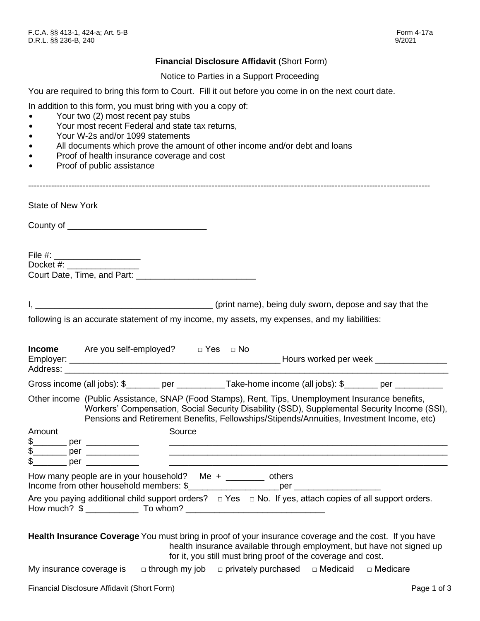## **Financial Disclosure Affidavit** (Short Form)

Notice to Parties in a Support Proceeding

You are required to bring this form to Court. Fill it out before you come in on the next court date.

In addition to this form, you must bring with you a copy of:

- Your two (2) most recent pay stubs
- Your most recent Federal and state tax returns,
- Your W-2s and/or 1099 statements
- All documents which prove the amount of other income and/or debt and loans
- Proof of health insurance coverage and cost
- Proof of public assistance

State of New York

|        | File #: _____________________<br>Docket #: ___________________ |                                                                                              |
|--------|----------------------------------------------------------------|----------------------------------------------------------------------------------------------|
|        |                                                                | following is an accurate statement of my income, my assets, my expenses, and my liabilities: |
| Income | $Area$ vou self-employed? $\Box$ Yes $\Box$ No                 |                                                                                              |

|        | <b>INCOTHE</b> $\qquad$ Are you self-employed $\qquad \qquad$ Lifes $\qquad \sqcup$ NO |        |                                                                                                                                                                                                                                                                                                |  |
|--------|----------------------------------------------------------------------------------------|--------|------------------------------------------------------------------------------------------------------------------------------------------------------------------------------------------------------------------------------------------------------------------------------------------------|--|
|        |                                                                                        |        | Gross income (all jobs): \$_______ per ___________Take-home income (all jobs): \$_______ per _________                                                                                                                                                                                         |  |
|        |                                                                                        |        | Other income (Public Assistance, SNAP (Food Stamps), Rent, Tips, Unemployment Insurance benefits,<br>Workers' Compensation, Social Security Disability (SSD), Supplemental Security Income (SSI),<br>Pensions and Retirement Benefits, Fellowships/Stipends/Annuities, Investment Income, etc) |  |
| Amount |                                                                                        | Source |                                                                                                                                                                                                                                                                                                |  |
|        | How many people are in your household? Me $+$ _______ others                           |        |                                                                                                                                                                                                                                                                                                |  |
|        |                                                                                        |        | Are you paying additional child support orders? $\Box$ Yes $\Box$ No. If yes, attach copies of all support orders.<br>How much? $\frac{1}{2}$ $\frac{1}{2}$ To whom? $\frac{1}{2}$ To whom?                                                                                                    |  |
|        |                                                                                        |        | Health Insurance Coverage You must bring in proof of your insurance coverage and the cost. If you have<br>health insurance available through employment, but have not signed up<br>for it, you still must bring proof of the coverage and cost.                                                |  |

My insurance coverage is  $\Box$  through my job  $\Box$  privately purchased  $\Box$  Medicaid  $\Box$  Medicare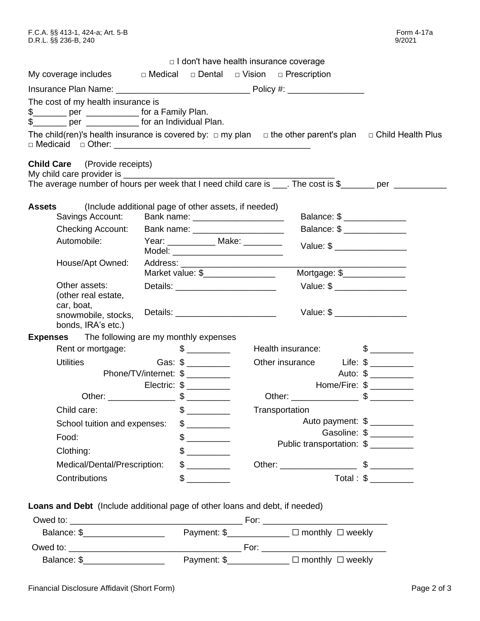|                                                                                                                                                                                                                                                                          |                       | $\Box$ I don't have health insurance coverage                                 |                           |                                                                                                                                                                                                                                                                                                                                    |
|--------------------------------------------------------------------------------------------------------------------------------------------------------------------------------------------------------------------------------------------------------------------------|-----------------------|-------------------------------------------------------------------------------|---------------------------|------------------------------------------------------------------------------------------------------------------------------------------------------------------------------------------------------------------------------------------------------------------------------------------------------------------------------------|
| My coverage includes                                                                                                                                                                                                                                                     |                       | $\Box$ Medical $\Box$ Dental $\Box$ Vision $\Box$ Prescription                |                           |                                                                                                                                                                                                                                                                                                                                    |
|                                                                                                                                                                                                                                                                          |                       |                                                                               |                           |                                                                                                                                                                                                                                                                                                                                    |
| The cost of my health insurance is<br>\$ ________ per _____________ for a Family Plan.<br>\$_______ per _____________ for an Individual Plan.<br>The child(ren)'s health insurance is covered by: $\Box$ my plan $\Box$ the other parent's plan $\Box$ Child Health Plus |                       |                                                                               |                           |                                                                                                                                                                                                                                                                                                                                    |
| <b>Child Care</b> (Provide receipts)<br>My child care provider is ______<br>The average number of hours per week that I need child care is ___. The cost is \$______ per __________                                                                                      |                       |                                                                               |                           |                                                                                                                                                                                                                                                                                                                                    |
| <b>Assets</b><br>Savings Account:<br><b>Checking Account:</b>                                                                                                                                                                                                            |                       | (Include additional page of other assets, if needed)                          |                           | Balance: \$ ________________<br>Balance: \$ ________________                                                                                                                                                                                                                                                                       |
| Automobile:                                                                                                                                                                                                                                                              |                       | Year: ______________ Make: __________<br>Model: _____________________________ |                           | Value: \$                                                                                                                                                                                                                                                                                                                          |
| House/Apt Owned:                                                                                                                                                                                                                                                         |                       | Market value: \$_________________                                             |                           | Mortgage: \$                                                                                                                                                                                                                                                                                                                       |
| Other assets:<br>(other real estate,<br>car, boat,<br>snowmobile, stocks,<br>bonds, IRA's etc.)                                                                                                                                                                          |                       |                                                                               |                           | Value: \$<br>Value: $\frac{1}{2}$ $\frac{1}{2}$ $\frac{1}{2}$ $\frac{1}{2}$ $\frac{1}{2}$ $\frac{1}{2}$ $\frac{1}{2}$ $\frac{1}{2}$ $\frac{1}{2}$ $\frac{1}{2}$ $\frac{1}{2}$ $\frac{1}{2}$ $\frac{1}{2}$ $\frac{1}{2}$ $\frac{1}{2}$ $\frac{1}{2}$ $\frac{1}{2}$ $\frac{1}{2}$ $\frac{1}{2}$ $\frac{1}{2}$ $\frac{1}{2}$ $\frac{$ |
| <b>Expenses</b> The following are my monthly expenses                                                                                                                                                                                                                    |                       |                                                                               |                           |                                                                                                                                                                                                                                                                                                                                    |
| Rent or mortgage:                                                                                                                                                                                                                                                        | $\frac{1}{2}$         |                                                                               | Health insurance:         | $\frac{1}{2}$                                                                                                                                                                                                                                                                                                                      |
| <b>Utilities</b>                                                                                                                                                                                                                                                         | Gas: $\frac{1}{2}$    |                                                                               | Other insurance Life: \$  |                                                                                                                                                                                                                                                                                                                                    |
|                                                                                                                                                                                                                                                                          | Phone/TV/internet: \$ |                                                                               |                           | Auto: \$                                                                                                                                                                                                                                                                                                                           |
|                                                                                                                                                                                                                                                                          |                       |                                                                               |                           | Home/Fire: \$                                                                                                                                                                                                                                                                                                                      |
|                                                                                                                                                                                                                                                                          |                       |                                                                               |                           |                                                                                                                                                                                                                                                                                                                                    |
| Child care:                                                                                                                                                                                                                                                              | $\frac{1}{2}$         |                                                                               | Transportation            |                                                                                                                                                                                                                                                                                                                                    |
| School tuition and expenses:                                                                                                                                                                                                                                             |                       |                                                                               |                           | Auto payment: \$<br>Gasoline: \$                                                                                                                                                                                                                                                                                                   |
| Food:                                                                                                                                                                                                                                                                    |                       |                                                                               | Public transportation: \$ |                                                                                                                                                                                                                                                                                                                                    |
| Clothing:                                                                                                                                                                                                                                                                | $\frac{1}{2}$         |                                                                               |                           |                                                                                                                                                                                                                                                                                                                                    |
| Medical/Dental/Prescription:                                                                                                                                                                                                                                             | $\frac{1}{2}$         |                                                                               |                           |                                                                                                                                                                                                                                                                                                                                    |
| Contributions                                                                                                                                                                                                                                                            | \$                    |                                                                               |                           | Total: \$                                                                                                                                                                                                                                                                                                                          |
|                                                                                                                                                                                                                                                                          |                       |                                                                               |                           |                                                                                                                                                                                                                                                                                                                                    |

**Loans and Debt** (Include additional page of other loans and debt, if needed)

| Owed to:    |             | For:                         |
|-------------|-------------|------------------------------|
| Balance: \$ | Payment: \$ | $\Box$ monthly $\Box$ weekly |
| Owed to:    |             | For:                         |
| Balance: \$ | Payment: \$ | $\Box$ monthly $\Box$ weekly |